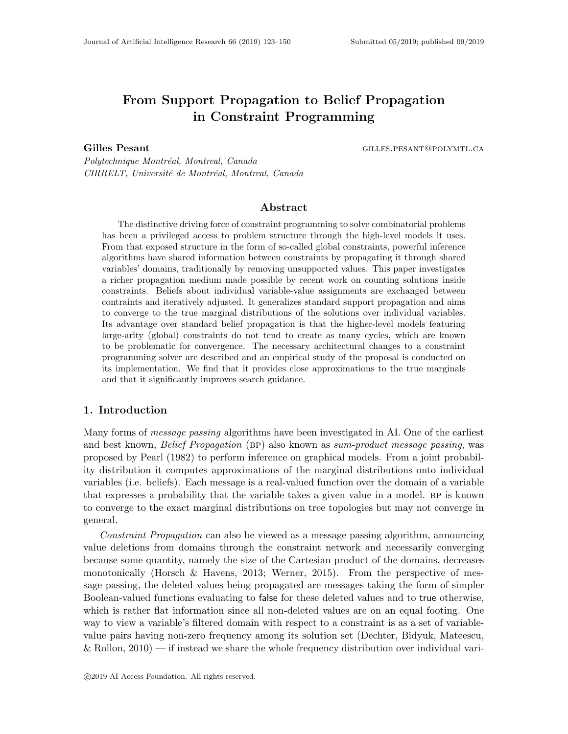# From Support Propagation to Belief Propagation in Constraint Programming

Gilles Pesant Gilles Pesant Gilles.pesant Gilles.pesant Gilles.pesant Gilles Pesant Gilles Pesant Gilles Pesant Gilles Pesant Gilles Pesant Gilles Pesant Gilles Pesant Gilles Pesant Gilles Pesant Gilles Pesant Gilles Pesan

Polytechnique Montréal, Montreal, Canada CIRRELT, Université de Montréal, Montreal, Canada

## Abstract

The distinctive driving force of constraint programming to solve combinatorial problems has been a privileged access to problem structure through the high-level models it uses. From that exposed structure in the form of so-called global constraints, powerful inference algorithms have shared information between constraints by propagating it through shared variables' domains, traditionally by removing unsupported values. This paper investigates a richer propagation medium made possible by recent work on counting solutions inside constraints. Beliefs about individual variable-value assignments are exchanged between contraints and iteratively adjusted. It generalizes standard support propagation and aims to converge to the true marginal distributions of the solutions over individual variables. Its advantage over standard belief propagation is that the higher-level models featuring large-arity (global) constraints do not tend to create as many cycles, which are known to be problematic for convergence. The necessary architectural changes to a constraint programming solver are described and an empirical study of the proposal is conducted on its implementation. We find that it provides close approximations to the true marginals and that it significantly improves search guidance.

## 1. Introduction

Many forms of message passing algorithms have been investigated in AI. One of the earliest and best known, *Belief Propagation* (BP) also known as sum-product message passing, was proposed by Pearl (1982) to perform inference on graphical models. From a joint probability distribution it computes approximations of the marginal distributions onto individual variables (i.e. beliefs). Each message is a real-valued function over the domain of a variable that expresses a probability that the variable takes a given value in a model. bp is known to converge to the exact marginal distributions on tree topologies but may not converge in general.

Constraint Propagation can also be viewed as a message passing algorithm, announcing value deletions from domains through the constraint network and necessarily converging because some quantity, namely the size of the Cartesian product of the domains, decreases monotonically (Horsch & Havens, 2013; Werner, 2015). From the perspective of message passing, the deleted values being propagated are messages taking the form of simpler Boolean-valued functions evaluating to false for these deleted values and to true otherwise, which is rather flat information since all non-deleted values are on an equal footing. One way to view a variable's filtered domain with respect to a constraint is as a set of variablevalue pairs having non-zero frequency among its solution set (Dechter, Bidyuk, Mateescu,  $\&$  Rollon, 2010) — if instead we share the whole frequency distribution over individual vari-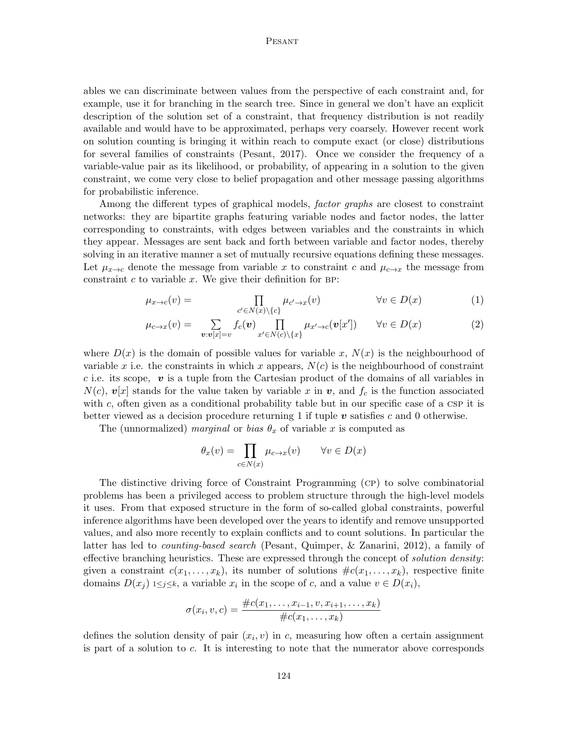ables we can discriminate between values from the perspective of each constraint and, for example, use it for branching in the search tree. Since in general we don't have an explicit description of the solution set of a constraint, that frequency distribution is not readily available and would have to be approximated, perhaps very coarsely. However recent work on solution counting is bringing it within reach to compute exact (or close) distributions for several families of constraints (Pesant, 2017). Once we consider the frequency of a variable-value pair as its likelihood, or probability, of appearing in a solution to the given constraint, we come very close to belief propagation and other message passing algorithms for probabilistic inference.

Among the different types of graphical models, *factor graphs* are closest to constraint networks: they are bipartite graphs featuring variable nodes and factor nodes, the latter corresponding to constraints, with edges between variables and the constraints in which they appear. Messages are sent back and forth between variable and factor nodes, thereby solving in an iterative manner a set of mutually recursive equations defining these messages. Let  $\mu_{x\to c}$  denote the message from variable x to constraint c and  $\mu_{c\to x}$  the message from constraint  $c$  to variable  $x$ . We give their definition for BP:

$$
\mu_{x \to c}(v) = \prod_{c' \in N(x) \setminus \{c\}} \mu_{c' \to x}(v) \qquad \forall v \in D(x) \tag{1}
$$

$$
\mu_{c \to x}(v) = \sum_{\mathbf{v}: \mathbf{v}[x] = v} f_c(\mathbf{v}) \prod_{x' \in N(c) \setminus \{x\}} \mu_{x' \to c}(\mathbf{v}[x']) \qquad \forall v \in D(x) \tag{2}
$$

where  $D(x)$  is the domain of possible values for variable x,  $N(x)$  is the neighbourhood of variable x i.e. the constraints in which x appears,  $N(c)$  is the neighbourhood of constraint c i.e. its scope,  $\boldsymbol{v}$  is a tuple from the Cartesian product of the domains of all variables in  $N(c)$ ,  $\mathbf{v}[x]$  stands for the value taken by variable x in v, and  $f_c$  is the function associated with  $c$ , often given as a conditional probability table but in our specific case of a CSP it is better viewed as a decision procedure returning 1 if tuple  $v$  satisfies c and 0 otherwise.

The (unnormalized) marginal or bias  $\theta_x$  of variable x is computed as

$$
\theta_x(v) = \prod_{c \in N(x)} \mu_{c \to x}(v) \qquad \forall v \in D(x)
$$

The distinctive driving force of Constraint Programming (cp) to solve combinatorial problems has been a privileged access to problem structure through the high-level models it uses. From that exposed structure in the form of so-called global constraints, powerful inference algorithms have been developed over the years to identify and remove unsupported values, and also more recently to explain conflicts and to count solutions. In particular the latter has led to counting-based search (Pesant, Quimper, & Zanarini, 2012), a family of effective branching heuristics. These are expressed through the concept of *solution density*: given a constraint  $c(x_1, \ldots, x_k)$ , its number of solutions  $\#c(x_1, \ldots, x_k)$ , respective finite domains  $D(x_j)$  1≤j≤k, a variable  $x_i$  in the scope of c, and a value  $v \in D(x_i)$ ,

$$
\sigma(x_i, v, c) = \frac{\#c(x_1, \dots, x_{i-1}, v, x_{i+1}, \dots, x_k)}{\#c(x_1, \dots, x_k)}
$$

defines the solution density of pair  $(x_i, v)$  in c, measuring how often a certain assignment is part of a solution to c. It is interesting to note that the numerator above corresponds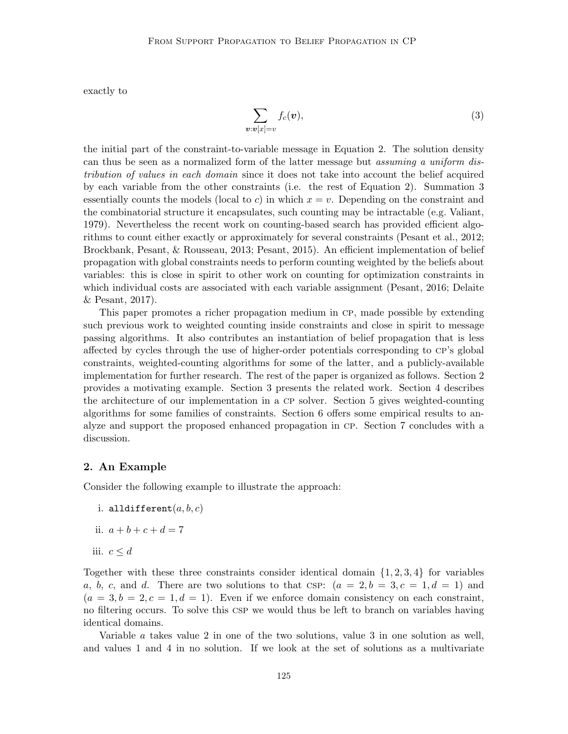exactly to

$$
\sum_{\boldsymbol{v}: \boldsymbol{v}[x]=v} f_c(\boldsymbol{v}),\tag{3}
$$

the initial part of the constraint-to-variable message in Equation 2. The solution density can thus be seen as a normalized form of the latter message but assuming a uniform distribution of values in each domain since it does not take into account the belief acquired by each variable from the other constraints (i.e. the rest of Equation 2). Summation 3 essentially counts the models (local to c) in which  $x = v$ . Depending on the constraint and the combinatorial structure it encapsulates, such counting may be intractable (e.g. Valiant, 1979). Nevertheless the recent work on counting-based search has provided efficient algorithms to count either exactly or approximately for several constraints (Pesant et al., 2012; Brockbank, Pesant, & Rousseau, 2013; Pesant, 2015). An efficient implementation of belief propagation with global constraints needs to perform counting weighted by the beliefs about variables: this is close in spirit to other work on counting for optimization constraints in which individual costs are associated with each variable assignment (Pesant, 2016; Delaite & Pesant, 2017).

This paper promotes a richer propagation medium in CP, made possible by extending such previous work to weighted counting inside constraints and close in spirit to message passing algorithms. It also contributes an instantiation of belief propagation that is less affected by cycles through the use of higher-order potentials corresponding to cp's global constraints, weighted-counting algorithms for some of the latter, and a publicly-available implementation for further research. The rest of the paper is organized as follows. Section 2 provides a motivating example. Section 3 presents the related work. Section 4 describes the architecture of our implementation in a cp solver. Section 5 gives weighted-counting algorithms for some families of constraints. Section 6 offers some empirical results to analyze and support the proposed enhanced propagation in cp. Section 7 concludes with a discussion.

### 2. An Example

Consider the following example to illustrate the approach:

- i. alldifferent $(a, b, c)$
- ii.  $a + b + c + d = 7$
- iii.  $c \leq d$

Together with these three constraints consider identical domain  $\{1, 2, 3, 4\}$  for variables a, b, c, and d. There are two solutions to that CSP:  $(a = 2, b = 3, c = 1, d = 1)$  and  $(a = 3, b = 2, c = 1, d = 1)$ . Even if we enforce domain consistency on each constraint, no filtering occurs. To solve this CSP we would thus be left to branch on variables having identical domains.

Variable a takes value 2 in one of the two solutions, value 3 in one solution as well, and values 1 and 4 in no solution. If we look at the set of solutions as a multivariate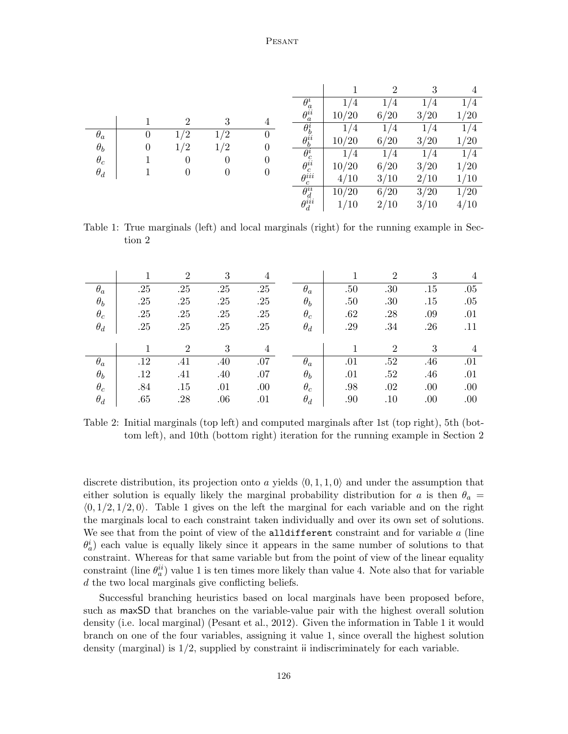|            |   |                  |                |                  |                                                                            |                        | റ             | 3        |               |
|------------|---|------------------|----------------|------------------|----------------------------------------------------------------------------|------------------------|---------------|----------|---------------|
|            |   |                  |                |                  |                                                                            | $1\,$<br>$\frac{4}{4}$ | $^{\prime}$ 4 | 1/<br>΄4 | $\frac{1}{4}$ |
|            |   | റ                | 3              | 4                | $\theta_a^i \ \theta_a^{ii}$                                               | 10/20                  | 6/20          | 3/20     | 1/20          |
|            |   |                  |                |                  |                                                                            | 1/<br>'4               | $\frac{4}{4}$ | 1/4      | 1/4           |
| $\theta_a$ | 0 | /2               | 1/2            | $\boldsymbol{0}$ | $\overline{\theta^i_b} \overline{\theta^{ii}_b}$                           | 10/20                  | 6/20          | 3/20     | 1/20          |
| $\theta_b$ | 0 | 1/2              | 1/2            | $\boldsymbol{0}$ |                                                                            | 1/<br>$\frac{4}{4}$    | $\frac{4}{4}$ | 1/4      | 1/4           |
| $\theta_c$ |   | 0                | $\theta$       | $\boldsymbol{0}$ |                                                                            | 10/20                  | 6/20          | 3/20     | 1/20          |
| $\theta_d$ |   | $\boldsymbol{0}$ | $\overline{0}$ | $\boldsymbol{0}$ | $\begin{array}{c} \theta_c^i \ \theta_c^{ii} \ \theta_c^{iii} \end{array}$ | $^{\prime}10$<br>47    | 3/10          | 2/10     | 1/10          |
|            |   |                  |                |                  |                                                                            | 10/20                  | 6/20          | 3/20     | 1/20          |
|            |   |                  |                |                  | $\overline{\theta^{ii}_{d}} \atop \theta^{iii}_{d}$                        | $^{\prime}10$<br>1/    | 2/10          | 3/10     | 4/10          |

Table 1: True marginals (left) and local marginals (right) for the running example in Section 2

|            |     | $\overline{2}$ | 3   | 4   |            |     | $\overline{2}$ | 3   | 4    |
|------------|-----|----------------|-----|-----|------------|-----|----------------|-----|------|
| $\theta_a$ | .25 | .25            | .25 | .25 | $\theta_a$ | .50 | .30            | .15 | .05  |
| $\theta_b$ | .25 | .25            | .25 | .25 | $\theta_b$ | .50 | .30            | .15 | .05  |
| $\theta_c$ | .25 | .25            | .25 | .25 | $\theta_c$ | .62 | .28            | .09 | .01  |
| $\theta_d$ | .25 | .25            | .25 | .25 | $\theta_d$ | .29 | .34            | .26 | .11  |
|            |     |                |     |     |            |     |                |     |      |
|            |     | $\overline{2}$ | 3   | 4   |            |     | $\overline{2}$ | 3   | 4    |
| $\theta_a$ | .12 | .41            | .40 | .07 | $\theta_a$ | .01 | .52            | .46 | .01  |
| $\theta_b$ | .12 | .41            | .40 | .07 | $\theta_b$ | .01 | .52            | .46 | .01  |
| $\theta_c$ | .84 | .15            | .01 | .00 | $\theta_c$ | .98 | .02            | .00 | .00. |
| $\theta_d$ | .65 | .28            | .06 | .01 | $\theta_d$ | .90 | .10            | .00 | .00. |

Table 2: Initial marginals (top left) and computed marginals after 1st (top right), 5th (bottom left), and 10th (bottom right) iteration for the running example in Section 2

discrete distribution, its projection onto a yields  $(0, 1, 1, 0)$  and under the assumption that either solution is equally likely the marginal probability distribution for a is then  $\theta_a =$  $\langle 0, 1/2, 1/2, 0 \rangle$ . Table 1 gives on the left the marginal for each variable and on the right the marginals local to each constraint taken individually and over its own set of solutions. We see that from the point of view of the alldifferent constraint and for variable  $a$  (line  $\theta_a^i$ ) each value is equally likely since it appears in the same number of solutions to that constraint. Whereas for that same variable but from the point of view of the linear equality constraint (line  $\theta_a^{ii}$ ) value 1 is ten times more likely than value 4. Note also that for variable d the two local marginals give conflicting beliefs.

Successful branching heuristics based on local marginals have been proposed before, such as maxSD that branches on the variable-value pair with the highest overall solution density (i.e. local marginal) (Pesant et al., 2012). Given the information in Table 1 it would branch on one of the four variables, assigning it value 1, since overall the highest solution density (marginal) is  $1/2$ , supplied by constraint ii indiscriminately for each variable.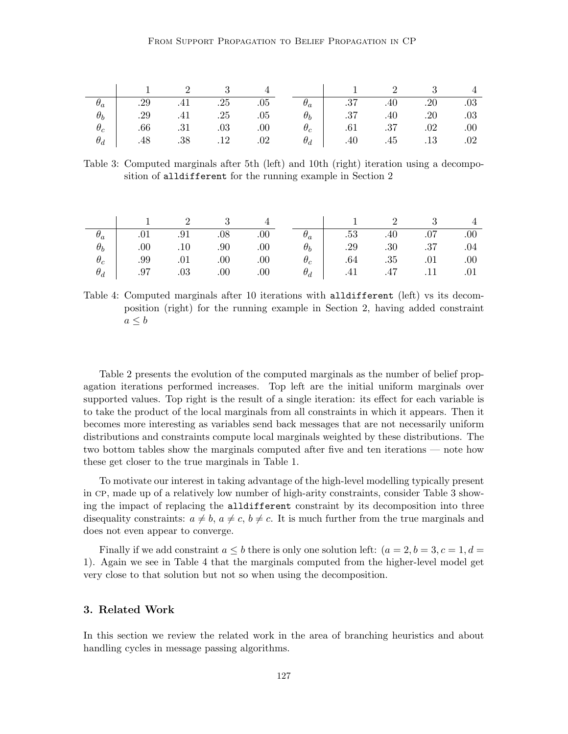#### From Support Propagation to Belief Propagation in CP

|            |     |     |                                  |         |                            |                              |     | $1 \qquad 2 \qquad 3$ | 4       |
|------------|-----|-----|----------------------------------|---------|----------------------------|------------------------------|-----|-----------------------|---------|
|            |     |     | $.29 \t\t .41 \t\t .25 \t\t .05$ |         |                            | $\theta_a$   .37 .40 .20 .03 |     |                       |         |
| $\theta_b$ | .29 |     |                                  |         | .41 .25 .05 $\theta_b$ .37 |                              | .40 | $.20\,$               | $.03\,$ |
| $\theta_c$ | .66 |     | $.31 \t .03 \t .00$              |         |                            | $\theta_c$   .61 .37 .02     |     |                       | .00.    |
|            | .48 | .38 | .12                              | $.02\,$ | $\theta_d$                 | .40                          | .45 | .13                   | $.02\,$ |

Table 3: Computed marginals after 5th (left) and 10th (right) iteration using a decomposition of alldifferent for the running example in Section 2

|            |        | 2   |                            |      |                  |                              | $\sim$ 1 $\sim$ 2 |     | $\overline{4}$ |
|------------|--------|-----|----------------------------|------|------------------|------------------------------|-------------------|-----|----------------|
|            |        |     | $.01 \t .91 \t .08 \t .00$ |      |                  | $\theta_a$   .53 .40 .07 .00 |                   |     |                |
| $\theta_b$ | 00 010 |     | .90                        |      | $.00$ $\theta_b$ |                              | $.29 \t .30$      | .37 | .04            |
| $\theta_c$ | .99    |     | $.01$ $.00$ $.00$          |      |                  | $\theta_c$   .64 .35 .01     |                   |     | .00.           |
|            | .97    | .03 | $.00\,$                    | .00. | $\theta_d$       | .41                          | .47               | .11 | .01            |

Table 4: Computed marginals after 10 iterations with alldifferent (left) vs its decomposition (right) for the running example in Section 2, having added constraint  $a \leq b$ 

Table 2 presents the evolution of the computed marginals as the number of belief propagation iterations performed increases. Top left are the initial uniform marginals over supported values. Top right is the result of a single iteration: its effect for each variable is to take the product of the local marginals from all constraints in which it appears. Then it becomes more interesting as variables send back messages that are not necessarily uniform distributions and constraints compute local marginals weighted by these distributions. The two bottom tables show the marginals computed after five and ten iterations — note how these get closer to the true marginals in Table 1.

To motivate our interest in taking advantage of the high-level modelling typically present in cp, made up of a relatively low number of high-arity constraints, consider Table 3 showing the impact of replacing the alldifferent constraint by its decomposition into three disequality constraints:  $a \neq b$ ,  $a \neq c$ ,  $b \neq c$ . It is much further from the true marginals and does not even appear to converge.

Finally if we add constraint  $a \leq b$  there is only one solution left:  $(a = 2, b = 3, c = 1, d = 1)$ 1). Again we see in Table 4 that the marginals computed from the higher-level model get very close to that solution but not so when using the decomposition.

### 3. Related Work

In this section we review the related work in the area of branching heuristics and about handling cycles in message passing algorithms.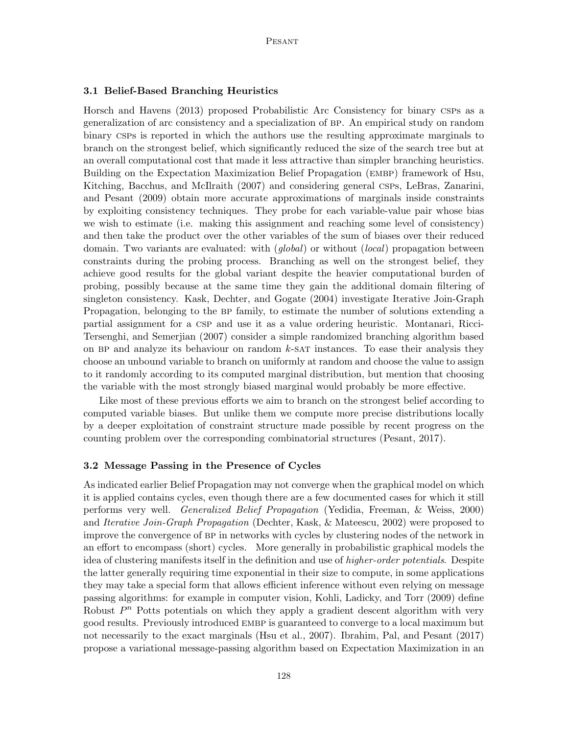### 3.1 Belief-Based Branching Heuristics

Horsch and Havens (2013) proposed Probabilistic Arc Consistency for binary csps as a generalization of arc consistency and a specialization of bp. An empirical study on random binary csps is reported in which the authors use the resulting approximate marginals to branch on the strongest belief, which significantly reduced the size of the search tree but at an overall computational cost that made it less attractive than simpler branching heuristics. Building on the Expectation Maximization Belief Propagation (EMBP) framework of Hsu, Kitching, Bacchus, and McIlraith (2007) and considering general csps, LeBras, Zanarini, and Pesant (2009) obtain more accurate approximations of marginals inside constraints by exploiting consistency techniques. They probe for each variable-value pair whose bias we wish to estimate (i.e. making this assignment and reaching some level of consistency) and then take the product over the other variables of the sum of biases over their reduced domain. Two variants are evaluated: with (*global*) or without (*local*) propagation between constraints during the probing process. Branching as well on the strongest belief, they achieve good results for the global variant despite the heavier computational burden of probing, possibly because at the same time they gain the additional domain filtering of singleton consistency. Kask, Dechter, and Gogate (2004) investigate Iterative Join-Graph Propagation, belonging to the BP family, to estimate the number of solutions extending a partial assignment for a csp and use it as a value ordering heuristic. Montanari, Ricci-Tersenghi, and Semerjian (2007) consider a simple randomized branching algorithm based on BP and analyze its behaviour on random  $k$ -SAT instances. To ease their analysis they choose an unbound variable to branch on uniformly at random and choose the value to assign to it randomly according to its computed marginal distribution, but mention that choosing the variable with the most strongly biased marginal would probably be more effective.

Like most of these previous efforts we aim to branch on the strongest belief according to computed variable biases. But unlike them we compute more precise distributions locally by a deeper exploitation of constraint structure made possible by recent progress on the counting problem over the corresponding combinatorial structures (Pesant, 2017).

#### 3.2 Message Passing in the Presence of Cycles

As indicated earlier Belief Propagation may not converge when the graphical model on which it is applied contains cycles, even though there are a few documented cases for which it still performs very well. Generalized Belief Propagation (Yedidia, Freeman, & Weiss, 2000) and Iterative Join-Graph Propagation (Dechter, Kask, & Mateescu, 2002) were proposed to improve the convergence of bp in networks with cycles by clustering nodes of the network in an effort to encompass (short) cycles. More generally in probabilistic graphical models the idea of clustering manifests itself in the definition and use of higher-order potentials. Despite the latter generally requiring time exponential in their size to compute, in some applications they may take a special form that allows efficient inference without even relying on message passing algorithms: for example in computer vision, Kohli, Ladicky, and Torr (2009) define Robust  $P<sup>n</sup>$  Potts potentials on which they apply a gradient descent algorithm with very good results. Previously introduced embp is guaranteed to converge to a local maximum but not necessarily to the exact marginals (Hsu et al., 2007). Ibrahim, Pal, and Pesant (2017) propose a variational message-passing algorithm based on Expectation Maximization in an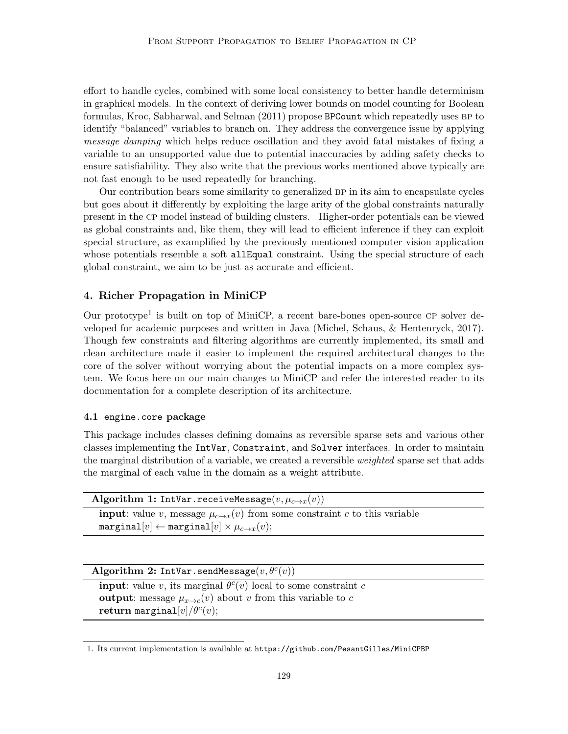effort to handle cycles, combined with some local consistency to better handle determinism in graphical models. In the context of deriving lower bounds on model counting for Boolean formulas, Kroc, Sabharwal, and Selman (2011) propose BPCount which repeatedly uses bp to identify "balanced" variables to branch on. They address the convergence issue by applying message damping which helps reduce oscillation and they avoid fatal mistakes of fixing a variable to an unsupported value due to potential inaccuracies by adding safety checks to ensure satisfiability. They also write that the previous works mentioned above typically are not fast enough to be used repeatedly for branching.

Our contribution bears some similarity to generalized bp in its aim to encapsulate cycles but goes about it differently by exploiting the large arity of the global constraints naturally present in the cp model instead of building clusters. Higher-order potentials can be viewed as global constraints and, like them, they will lead to efficient inference if they can exploit special structure, as examplified by the previously mentioned computer vision application whose potentials resemble a soft allEqual constraint. Using the special structure of each global constraint, we aim to be just as accurate and efficient.

## 4. Richer Propagation in MiniCP

Our prototype<sup>1</sup> is built on top of MiniCP, a recent bare-bones open-source CP solver developed for academic purposes and written in Java (Michel, Schaus, & Hentenryck, 2017). Though few constraints and filtering algorithms are currently implemented, its small and clean architecture made it easier to implement the required architectural changes to the core of the solver without worrying about the potential impacts on a more complex system. We focus here on our main changes to MiniCP and refer the interested reader to its documentation for a complete description of its architecture.

### 4.1 engine.core package

This package includes classes defining domains as reversible sparse sets and various other classes implementing the IntVar, Constraint, and Solver interfaces. In order to maintain the marginal distribution of a variable, we created a reversible weighted sparse set that adds the marginal of each value in the domain as a weight attribute.

| Algorithm 1: IntVar.receiveMessage $(v, \mu_{c \to x}(v))$                                                                                                                  |
|-----------------------------------------------------------------------------------------------------------------------------------------------------------------------------|
| <b>input:</b> value v, message $\mu_{c\to x}(v)$ from some constraint c to this variable<br>$\texttt{marginal}[v] \leftarrow \texttt{marginal}[v] \times \mu_{c \to x}(v);$ |
|                                                                                                                                                                             |

| Algorithm 2: IntVar.sendMessage $(v, \theta^c(v))$ |  |  |  |  |  |  |
|----------------------------------------------------|--|--|--|--|--|--|
|----------------------------------------------------|--|--|--|--|--|--|

**input**: value v, its marginal  $\theta^c(v)$  local to some constraint c output: message  $\mu_{x\to c}(v)$  about v from this variable to c  $\textbf{return} \; \mathtt{marginal}[v] / \theta^c(v);$ 

<sup>1.</sup> Its current implementation is available at https://github.com/PesantGilles/MiniCPBP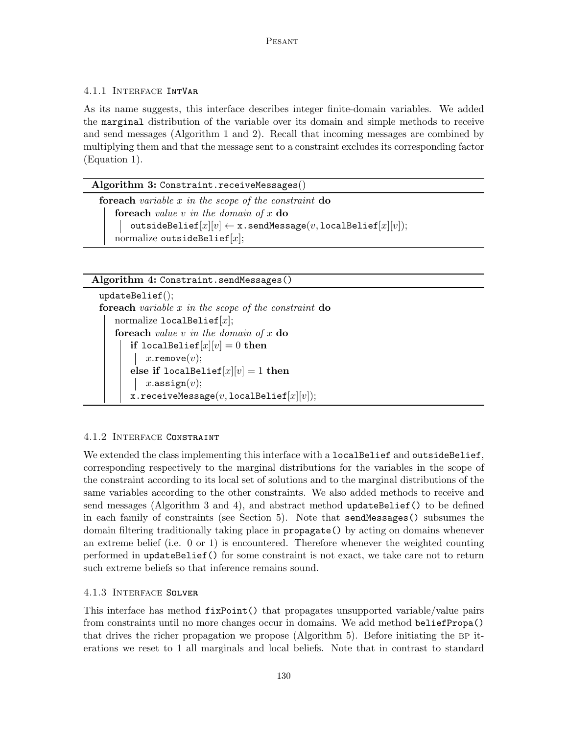## 4.1.1 Interface IntVar

As its name suggests, this interface describes integer finite-domain variables. We added the marginal distribution of the variable over its domain and simple methods to receive and send messages (Algorithm 1 and 2). Recall that incoming messages are combined by multiplying them and that the message sent to a constraint excludes its corresponding factor (Equation 1).

|  |  | Algorithm $3$ : Constraint.receiveMessages $()$ |
|--|--|-------------------------------------------------|
|--|--|-------------------------------------------------|

for each variable  $x$  in the scope of the constraint  $\bf{do}$ for each value  $v$  in the domain of  $x$  do outsideBelief $[x][v] \leftarrow x$ .sendMessage $(v,$ localBelief $[x][v]$ ); normalize outsideBelief[x];

|  |  |  | Algorithm 4: Constraint.sendMessages() |  |
|--|--|--|----------------------------------------|--|
|--|--|--|----------------------------------------|--|

```
updateBelief();
foreach variable x in the scope of the constraint \bf{do}normalize localBelief[x];
   for each value v in the domain of x do
      if localBelief[x][v] = 0 then
         x.remove(v);
      else if localBelief[x][v] = 1 then
          x.assign(v);
      x.receiveMessage(v,localBelief[x][v]);
```
## 4.1.2 Interface Constraint

We extended the class implementing this interface with a localBelief and outsideBelief. corresponding respectively to the marginal distributions for the variables in the scope of the constraint according to its local set of solutions and to the marginal distributions of the same variables according to the other constraints. We also added methods to receive and send messages (Algorithm 3 and 4), and abstract method updateBelief() to be defined in each family of constraints (see Section 5). Note that sendMessages() subsumes the domain filtering traditionally taking place in propagate() by acting on domains whenever an extreme belief (i.e. 0 or 1) is encountered. Therefore whenever the weighted counting performed in updateBelief() for some constraint is not exact, we take care not to return such extreme beliefs so that inference remains sound.

## 4.1.3 Interface Solver

This interface has method fixPoint() that propagates unsupported variable/value pairs from constraints until no more changes occur in domains. We add method beliefPropa() that drives the richer propagation we propose (Algorithm 5). Before initiating the bp iterations we reset to 1 all marginals and local beliefs. Note that in contrast to standard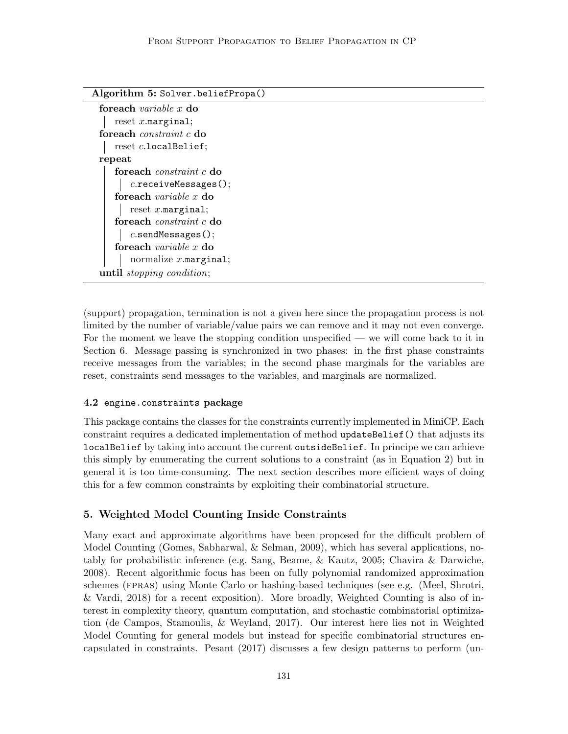| Algorithm 5: Solver.beliefPropa() |  |  |  |  |
|-----------------------------------|--|--|--|--|
|-----------------------------------|--|--|--|--|

| foreach <i>variable</i> $x$ do    |
|-----------------------------------|
| reset x.marginal;                 |
| foreach <i>constraint c</i> do    |
| reset c. local Belief;            |
| repeat                            |
| foreach <i>constraint c</i> do    |
| $c$ .receiveMessages $();$        |
| foreach <i>variable</i> $x$ do    |
| reset x.marginal;                 |
| foreach <i>constraint c</i> do    |
| $c.\texttt{sendMessages}$ ();     |
| foreach <i>variable</i> $x$ do    |
| normalize $x$ marginal;           |
| until <i>stopping condition</i> ; |

(support) propagation, termination is not a given here since the propagation process is not limited by the number of variable/value pairs we can remove and it may not even converge. For the moment we leave the stopping condition unspecified — we will come back to it in Section 6. Message passing is synchronized in two phases: in the first phase constraints receive messages from the variables; in the second phase marginals for the variables are reset, constraints send messages to the variables, and marginals are normalized.

#### 4.2 engine.constraints package

This package contains the classes for the constraints currently implemented in MiniCP. Each constraint requires a dedicated implementation of method updateBelief() that adjusts its localBelief by taking into account the current outsideBelief. In principe we can achieve this simply by enumerating the current solutions to a constraint (as in Equation 2) but in general it is too time-consuming. The next section describes more efficient ways of doing this for a few common constraints by exploiting their combinatorial structure.

## 5. Weighted Model Counting Inside Constraints

Many exact and approximate algorithms have been proposed for the difficult problem of Model Counting (Gomes, Sabharwal, & Selman, 2009), which has several applications, notably for probabilistic inference (e.g. Sang, Beame, & Kautz, 2005; Chavira & Darwiche, 2008). Recent algorithmic focus has been on fully polynomial randomized approximation schemes (fpras) using Monte Carlo or hashing-based techniques (see e.g. (Meel, Shrotri, & Vardi, 2018) for a recent exposition). More broadly, Weighted Counting is also of interest in complexity theory, quantum computation, and stochastic combinatorial optimization (de Campos, Stamoulis, & Weyland, 2017). Our interest here lies not in Weighted Model Counting for general models but instead for specific combinatorial structures encapsulated in constraints. Pesant (2017) discusses a few design patterns to perform (un-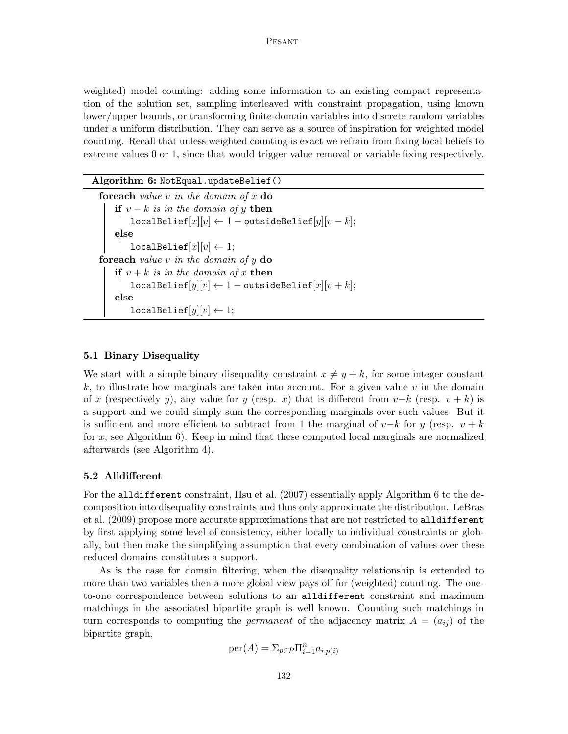weighted) model counting: adding some information to an existing compact representation of the solution set, sampling interleaved with constraint propagation, using known lower/upper bounds, or transforming finite-domain variables into discrete random variables under a uniform distribution. They can serve as a source of inspiration for weighted model counting. Recall that unless weighted counting is exact we refrain from fixing local beliefs to extreme values 0 or 1, since that would trigger value removal or variable fixing respectively.

Algorithm 6: NotEqual.updateBelief()

for each value  $v$  in the domain of  $x$  do if  $v - k$  is in the domain of y then  $\texttt{localBelief}[x][v] \leftarrow 1 - \texttt{outsideBelief}[y][v - k];$ else localBelief $[x][v] \leftarrow 1;$ for each value  $v$  in the domain of  $y$  do if  $v + k$  is in the domain of x then localBelief[y][v]  $\leftarrow 1 - \text{outsideBelief}[x][v+k];$ else  $\texttt{localBelief}[y][v] \gets 1;$ 

## 5.1 Binary Disequality

We start with a simple binary disequality constraint  $x \neq y + k$ , for some integer constant k, to illustrate how marginals are taken into account. For a given value  $v$  in the domain of x (respectively y), any value for y (resp. x) that is different from  $v-k$  (resp.  $v+k$ ) is a support and we could simply sum the corresponding marginals over such values. But it is sufficient and more efficient to subtract from 1 the marginal of  $v-k$  for y (resp.  $v+k$ for  $x$ ; see Algorithm 6). Keep in mind that these computed local marginals are normalized afterwards (see Algorithm 4).

### 5.2 Alldifferent

For the alldifferent constraint, Hsu et al. (2007) essentially apply Algorithm 6 to the decomposition into disequality constraints and thus only approximate the distribution. LeBras et al. (2009) propose more accurate approximations that are not restricted to alldifferent by first applying some level of consistency, either locally to individual constraints or globally, but then make the simplifying assumption that every combination of values over these reduced domains constitutes a support.

As is the case for domain filtering, when the disequality relationship is extended to more than two variables then a more global view pays off for (weighted) counting. The oneto-one correspondence between solutions to an alldifferent constraint and maximum matchings in the associated bipartite graph is well known. Counting such matchings in turn corresponds to computing the *permanent* of the adjacency matrix  $A = (a_{ij})$  of the bipartite graph,

$$
\text{per}(A) = \sum_{p \in \mathcal{P}} \prod_{i=1}^{n} a_{i, p(i)}
$$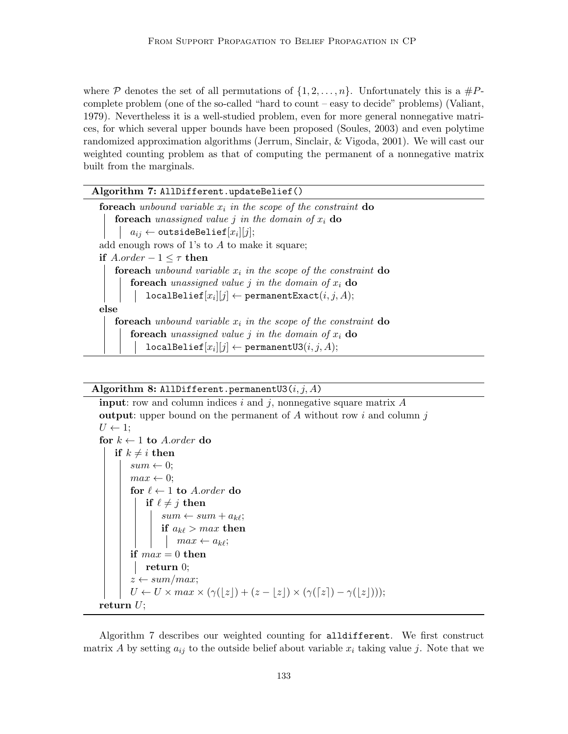where P denotes the set of all permutations of  $\{1, 2, \ldots, n\}$ . Unfortunately this is a #Pcomplete problem (one of the so-called "hard to count – easy to decide" problems) (Valiant, 1979). Nevertheless it is a well-studied problem, even for more general nonnegative matrices, for which several upper bounds have been proposed (Soules, 2003) and even polytime randomized approximation algorithms (Jerrum, Sinclair, & Vigoda, 2001). We will cast our weighted counting problem as that of computing the permanent of a nonnegative matrix built from the marginals.

|  |  | Algorithm 7: AllDifferent.updateBelief() |
|--|--|------------------------------------------|
|--|--|------------------------------------------|

**foreach** unbound variable  $x_i$  in the scope of the constraint **do** for each unassigned value j in the domain of  $x_i$  do  $a_{ij} \gets \texttt{outsideBelief}[x_i][j];$ add enough rows of 1's to A to make it square; if  $A.order - 1 \leq \tau$  then **foreach** unbound variable  $x_i$  in the scope of the constraint **do foreach** unassigned value j in the domain of  $x_i$  do  $\mathtt{localBelief}[x_i][j] \gets \mathtt{permanentExact}(i,j,A);$ else **foreach** unbound variable  $x_i$  in the scope of the constraint **do** for each unassigned value j in the domain of  $x_i$  do  $\mathtt{localBelief}[x_i][j] \gets \mathtt{permanently3}(i,j,A);$ 

### Algorithm 8: AllDifferent.permanentU3 $(i, j, A)$

**input:** row and column indices i and j, nonnegative square matrix  $A$ **output:** upper bound on the permanent of A without row i and column  $i$  $U \leftarrow 1$ ; for  $k \leftarrow 1$  to A.order do if  $k \neq i$  then  $sum \leftarrow 0$ ;  $max \leftarrow 0$ : for  $\ell \leftarrow 1$  to A.order do if  $\ell \neq j$  then  $sum \leftarrow sum + a_{k\ell};$ if  $a_{k\ell} > max$  then  $\left| \quad max \leftarrow a_{k\ell}; \right.$ if  $max = 0$  then return  $0;$  $z \leftarrow sum/max;$  $U \leftarrow U \times max \times (\gamma(|z|) + (z - |z|) \times (\gamma(|z|) - \gamma(|z|))),$ return  $U$ ;

Algorithm 7 describes our weighted counting for alldifferent. We first construct matrix A by setting  $a_{ij}$  to the outside belief about variable  $x_i$  taking value j. Note that we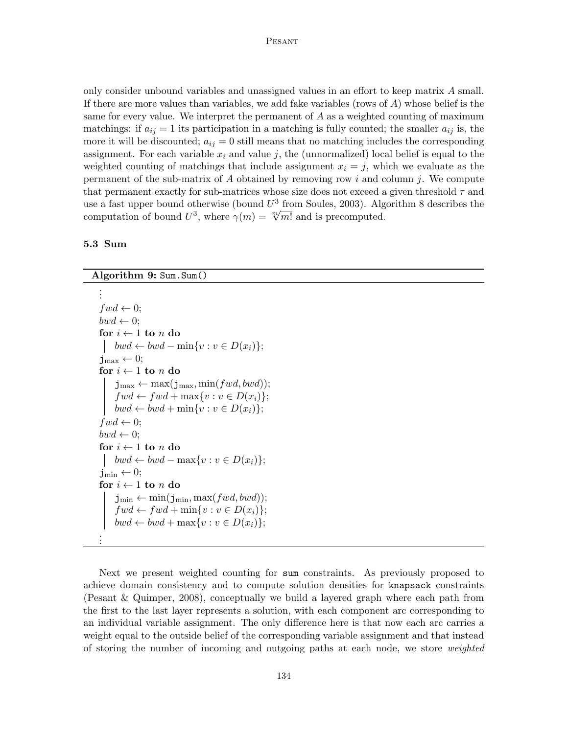only consider unbound variables and unassigned values in an effort to keep matrix A small. If there are more values than variables, we add fake variables (rows of  $A$ ) whose belief is the same for every value. We interpret the permanent of  $A$  as a weighted counting of maximum matchings: if  $a_{ij} = 1$  its participation in a matching is fully counted; the smaller  $a_{ij}$  is, the more it will be discounted;  $a_{ij} = 0$  still means that no matching includes the corresponding assignment. For each variable  $x_i$  and value j, the (unnormalized) local belief is equal to the weighted counting of matchings that include assignment  $x_i = j$ , which we evaluate as the permanent of the sub-matrix of  $A$  obtained by removing row  $i$  and column  $j$ . We compute that permanent exactly for sub-matrices whose size does not exceed a given threshold  $\tau$  and use a fast upper bound otherwise (bound  $U^3$  from Soules, 2003). Algorithm 8 describes the use a fast upper bound otherwise (bound  $U^{\circ}$  from Soules, 2003). Alg<br>computation of bound  $U^3$ , where  $\gamma(m) = \sqrt[m]{m!}$  and is precomputed.

## 5.3 Sum

| Algorithm 9: Sum. Sum()                               |
|-------------------------------------------------------|
|                                                       |
|                                                       |
| $fwd \leftarrow 0;$                                   |
| $bwd \leftarrow 0;$                                   |
| for $i \leftarrow 1$ to n do                          |
| $bwd \leftarrow bwd - \min\{v : v \in D(x_i)\};$      |
| $j_{\text{max}} \leftarrow 0;$                        |
| for $i \leftarrow 1$ to n do                          |
| $j_{\max} \leftarrow \max(j_{\max}, \min(fwd, bwd));$ |
| $fwd \leftarrow fwd + \max\{v : v \in D(x_i)\};$      |
| $bwd \leftarrow bwd + \min\{v : v \in D(x_i)\};$      |
| $fwd \leftarrow 0;$                                   |
| $bwd \leftarrow 0;$                                   |
| for $i \leftarrow 1$ to n do                          |
| $bwd \leftarrow bwd - \max\{v : v \in D(x_i)\};$      |
| $j_{\min} \leftarrow 0;$                              |
| for $i \leftarrow 1$ to n do                          |
| $j_{\min} \leftarrow \min(j_{\min}, \max(fwd, bwd));$ |
| $fwd \leftarrow fwd + \min\{v : v \in D(x_i)\};$      |
| $bwd \leftarrow bwd + \max\{v : v \in D(x_i)\};$      |
|                                                       |
|                                                       |

Next we present weighted counting for sum constraints. As previously proposed to achieve domain consistency and to compute solution densities for knapsack constraints (Pesant & Quimper, 2008), conceptually we build a layered graph where each path from the first to the last layer represents a solution, with each component arc corresponding to an individual variable assignment. The only difference here is that now each arc carries a weight equal to the outside belief of the corresponding variable assignment and that instead of storing the number of incoming and outgoing paths at each node, we store weighted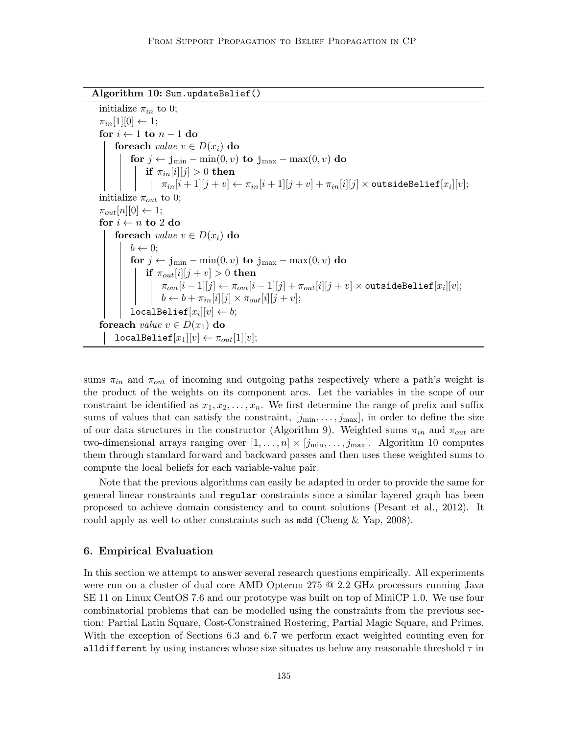Algorithm 10: Sum.updateBelief()

```
initialize \pi_{in} to 0;
\pi_{in}[1][0] \leftarrow 1;for i \leftarrow 1 to n - 1 do
     foreach value v \in D(x_i) do
          for j \leftarrow j_{\min} - \min(0, v) to j_{\max} - \max(0, v) do
               if \pi_{in}[i][j] > 0 then
                      \pi_{in}[i+1][j+v] \leftarrow \pi_{in}[i+1][j+v] + \pi_{in}[i][j] \times \texttt{outsideBelief}[x_i][v];initialize \pi_{out} to 0;
\pi_{out}[n][0] \leftarrow 1;for i \leftarrow n to 2 do
     foreach value v \in D(x_i) do
          b \leftarrow 0:
           {\bf for} \; j \leftarrow {\bf j}_{\rm min} - \min(0,v) \; {\bf to} \; {\bf j}_{\rm max} - \max(0,v) \; {\bf do}\mathbf{if}\,\,\pi_{out}[i][j+v]>0\,\,\mathbf{then}\pi_{out}[i-1][j] \gets \pi_{out}[i-1][j] + \pi_{out}[i][j+v] \times \texttt{outsideBelief}[x_i][v];b \leftarrow b + \pi_{in}[i][j] \times \pi_{out}[i][j+v];\mathtt{localBelief}[x_i][v] \gets b;foreach value v \in D(x_1) do
     \texttt{localBelief}[x_1][v] \leftarrow \pi_{out}[1][v];
```
sums  $\pi_{in}$  and  $\pi_{out}$  of incoming and outgoing paths respectively where a path's weight is the product of the weights on its component arcs. Let the variables in the scope of our constraint be identified as  $x_1, x_2, \ldots, x_n$ . We first determine the range of prefix and suffix sums of values that can satisfy the constraint,  $[j_{\min}, \ldots, j_{\max}]$ , in order to define the size of our data structures in the constructor (Algorithm 9). Weighted sums  $\pi_{in}$  and  $\pi_{out}$  are two-dimensional arrays ranging over  $[1, \ldots, n] \times [j_{\min}, \ldots, j_{\max}]$ . Algorithm 10 computes them through standard forward and backward passes and then uses these weighted sums to compute the local beliefs for each variable-value pair.

Note that the previous algorithms can easily be adapted in order to provide the same for general linear constraints and regular constraints since a similar layered graph has been proposed to achieve domain consistency and to count solutions (Pesant et al., 2012). It could apply as well to other constraints such as mdd (Cheng & Yap, 2008).

## 6. Empirical Evaluation

In this section we attempt to answer several research questions empirically. All experiments were run on a cluster of dual core AMD Opteron 275 @ 2.2 GHz processors running Java SE 11 on Linux CentOS 7.6 and our prototype was built on top of MiniCP 1.0. We use four combinatorial problems that can be modelled using the constraints from the previous section: Partial Latin Square, Cost-Constrained Rostering, Partial Magic Square, and Primes. With the exception of Sections 6.3 and 6.7 we perform exact weighted counting even for alldifferent by using instances whose size situates us below any reasonable threshold  $\tau$  in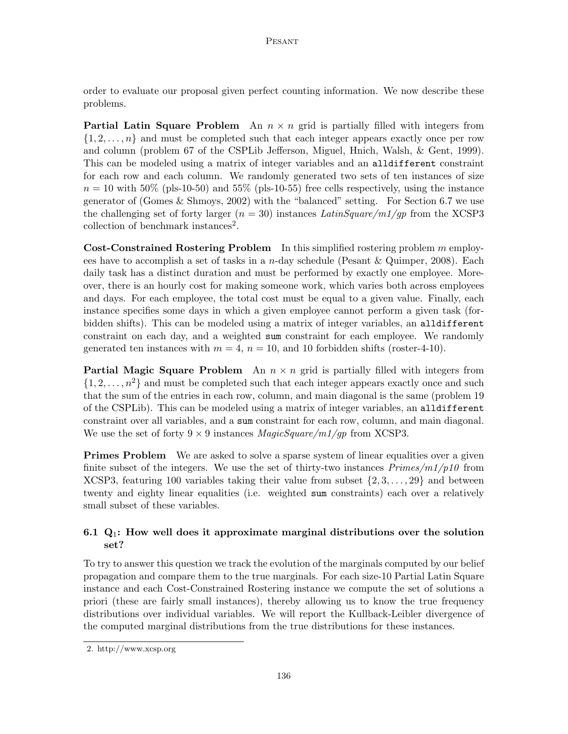order to evaluate our proposal given perfect counting information. We now describe these problems.

**Partial Latin Square Problem** An  $n \times n$  grid is partially filled with integers from  $\{1, 2, \ldots, n\}$  and must be completed such that each integer appears exactly once per row and column (problem 67 of the CSPLib Jefferson, Miguel, Hnich, Walsh, & Gent, 1999). This can be modeled using a matrix of integer variables and an alled if ferent constraint for each row and each column. We randomly generated two sets of ten instances of size  $n = 10$  with 50% (pls-10-50) and 55% (pls-10-55) free cells respectively, using the instance generator of (Gomes & Shmoys, 2002) with the "balanced" setting. For Section 6.7 we use the challenging set of forty larger  $(n = 30)$  instances LatinSquare/m1/gp from the XCSP3 collection of benchmark instances<sup>2</sup>.

**Cost-Constrained Rostering Problem** In this simplified rostering problem  $m$  employees have to accomplish a set of tasks in a *n*-day schedule (Pesant & Quimper, 2008). Each daily task has a distinct duration and must be performed by exactly one employee. Moreover, there is an hourly cost for making someone work, which varies both across employees and days. For each employee, the total cost must be equal to a given value. Finally, each instance specifies some days in which a given employee cannot perform a given task (forbidden shifts). This can be modeled using a matrix of integer variables, an alldifferent constraint on each day, and a weighted sum constraint for each employee. We randomly generated ten instances with  $m = 4$ ,  $n = 10$ , and 10 forbidden shifts (roster-4-10).

**Partial Magic Square Problem** An  $n \times n$  grid is partially filled with integers from  $\{1, 2, \ldots, n^2\}$  and must be completed such that each integer appears exactly once and such that the sum of the entries in each row, column, and main diagonal is the same (problem 19 of the CSPLib). This can be modeled using a matrix of integer variables, an alldifferent constraint over all variables, and a sum constraint for each row, column, and main diagonal. We use the set of forty  $9 \times 9$  instances *MagicSquare/m1/gp* from XCSP3.

**Primes Problem** We are asked to solve a sparse system of linear equalities over a given finite subset of the integers. We use the set of thirty-two instances  $Primes/m1/p10$  from XCSP3, featuring 100 variables taking their value from subset  $\{2, 3, \ldots, 29\}$  and between twenty and eighty linear equalities (i.e. weighted sum constraints) each over a relatively small subset of these variables.

## 6.1  $Q_1$ : How well does it approximate marginal distributions over the solution set?

To try to answer this question we track the evolution of the marginals computed by our belief propagation and compare them to the true marginals. For each size-10 Partial Latin Square instance and each Cost-Constrained Rostering instance we compute the set of solutions a priori (these are fairly small instances), thereby allowing us to know the true frequency distributions over individual variables. We will report the Kullback-Leibler divergence of the computed marginal distributions from the true distributions for these instances.

<sup>2.</sup> http://www.xcsp.org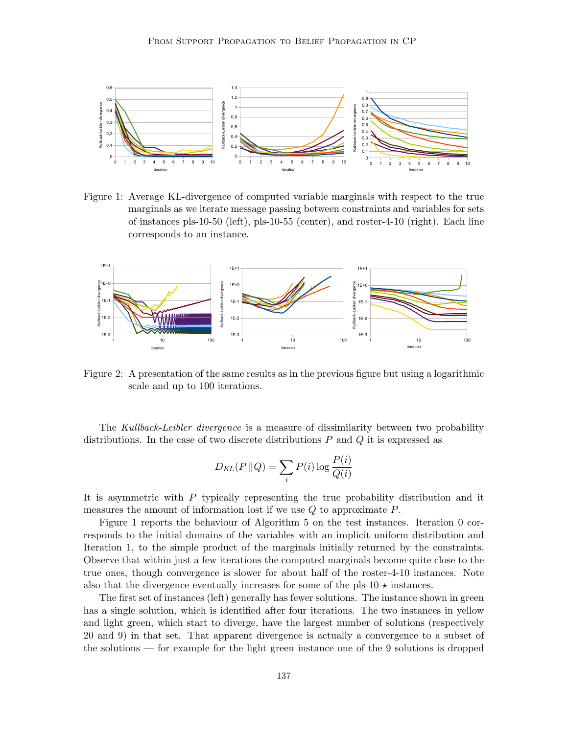

Figure 1: Average KL-divergence of computed variable marginals with respect to the true marginals as we iterate message passing between constraints and variables for sets of instances pls-10-50 (left), pls-10-55 (center), and roster-4-10 (right). Each line corresponds to an instance.



Figure 2: A presentation of the same results as in the previous figure but using a logarithmic scale and up to 100 iterations.

The Kullback-Leibler divergence is a measure of dissimilarity between two probability distributions. In the case of two discrete distributions  $P$  and  $Q$  it is expressed as

$$
D_{KL}(P \parallel Q) = \sum_{i} P(i) \log \frac{P(i)}{Q(i)}
$$

It is asymmetric with  $P$  typically representing the true probability distribution and it measures the amount of information lost if we use  $Q$  to approximate  $P$ .

Figure 1 reports the behaviour of Algorithm 5 on the test instances. Iteration 0 corresponds to the initial domains of the variables with an implicit uniform distribution and Iteration 1, to the simple product of the marginals initially returned by the constraints. Observe that within just a few iterations the computed marginals become quite close to the true ones, though convergence is slower for about half of the roster-4-10 instances. Note also that the divergence eventually increases for some of the  $\text{pls-10-}\star$  instances.

The first set of instances (left) generally has fewer solutions. The instance shown in green has a single solution, which is identified after four iterations. The two instances in yellow and light green, which start to diverge, have the largest number of solutions (respectively 20 and 9) in that set. That apparent divergence is actually a convergence to a subset of the solutions — for example for the light green instance one of the 9 solutions is dropped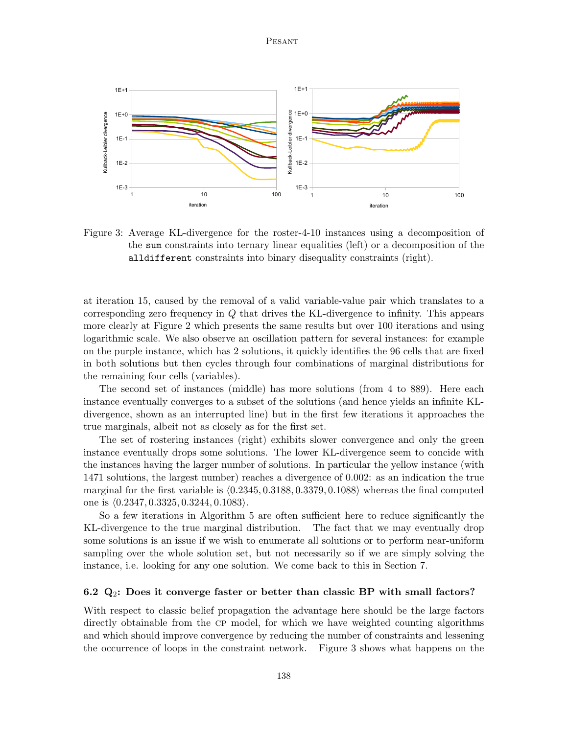

Figure 3: Average KL-divergence for the roster-4-10 instances using a decomposition of the sum constraints into ternary linear equalities (left) or a decomposition of the alldifferent constraints into binary disequality constraints (right).

at iteration 15, caused by the removal of a valid variable-value pair which translates to a corresponding zero frequency in Q that drives the KL-divergence to infinity. This appears more clearly at Figure 2 which presents the same results but over 100 iterations and using logarithmic scale. We also observe an oscillation pattern for several instances: for example on the purple instance, which has 2 solutions, it quickly identifies the 96 cells that are fixed in both solutions but then cycles through four combinations of marginal distributions for the remaining four cells (variables).

The second set of instances (middle) has more solutions (from 4 to 889). Here each instance eventually converges to a subset of the solutions (and hence yields an infinite KLdivergence, shown as an interrupted line) but in the first few iterations it approaches the true marginals, albeit not as closely as for the first set.

The set of rostering instances (right) exhibits slower convergence and only the green instance eventually drops some solutions. The lower KL-divergence seem to concide with the instances having the larger number of solutions. In particular the yellow instance (with 1471 solutions, the largest number) reaches a divergence of 0.002: as an indication the true marginal for the first variable is  $(0.2345, 0.3188, 0.3379, 0.1088)$  whereas the final computed one is  $\langle 0.2347, 0.3325, 0.3244, 0.1083 \rangle$ .

So a few iterations in Algorithm 5 are often sufficient here to reduce significantly the KL-divergence to the true marginal distribution. The fact that we may eventually drop some solutions is an issue if we wish to enumerate all solutions or to perform near-uniform sampling over the whole solution set, but not necessarily so if we are simply solving the instance, i.e. looking for any one solution. We come back to this in Section 7.

#### 6.2  $Q_2$ : Does it converge faster or better than classic BP with small factors?

With respect to classic belief propagation the advantage here should be the large factors directly obtainable from the CP model, for which we have weighted counting algorithms and which should improve convergence by reducing the number of constraints and lessening the occurrence of loops in the constraint network. Figure 3 shows what happens on the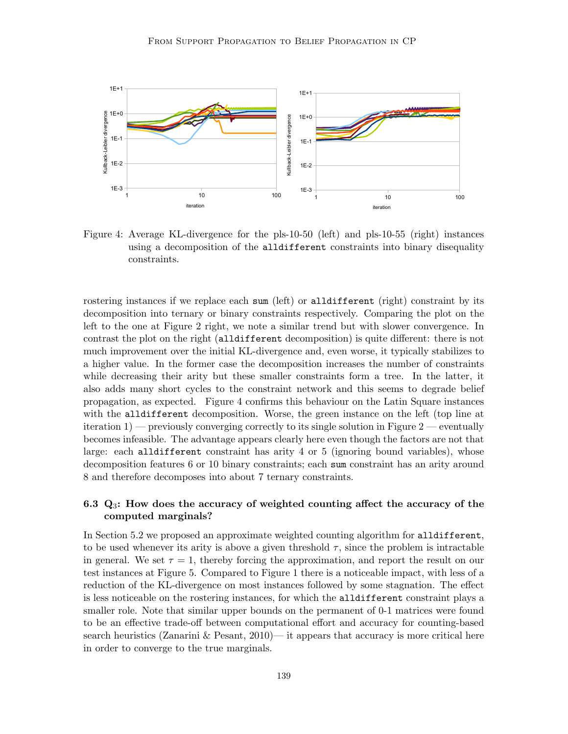

Figure 4: Average KL-divergence for the pls-10-50 (left) and pls-10-55 (right) instances using a decomposition of the alldifferent constraints into binary disequality constraints.

rostering instances if we replace each sum (left) or alldifferent (right) constraint by its decomposition into ternary or binary constraints respectively. Comparing the plot on the left to the one at Figure 2 right, we note a similar trend but with slower convergence. In contrast the plot on the right (alldifferent decomposition) is quite different: there is not much improvement over the initial KL-divergence and, even worse, it typically stabilizes to a higher value. In the former case the decomposition increases the number of constraints while decreasing their arity but these smaller constraints form a tree. In the latter, it also adds many short cycles to the constraint network and this seems to degrade belief propagation, as expected. Figure 4 confirms this behaviour on the Latin Square instances with the alldifferent decomposition. Worse, the green instance on the left (top line at iteration  $1$ ) — previously converging correctly to its single solution in Figure 2 — eventually becomes infeasible. The advantage appears clearly here even though the factors are not that large: each alldifferent constraint has arity 4 or 5 (ignoring bound variables), whose decomposition features 6 or 10 binary constraints; each sum constraint has an arity around 8 and therefore decomposes into about 7 ternary constraints.

## 6.3  $Q_3$ : How does the accuracy of weighted counting affect the accuracy of the computed marginals?

In Section 5.2 we proposed an approximate weighted counting algorithm for alldifferent, to be used whenever its arity is above a given threshold  $\tau$ , since the problem is intractable in general. We set  $\tau = 1$ , thereby forcing the approximation, and report the result on our test instances at Figure 5. Compared to Figure 1 there is a noticeable impact, with less of a reduction of the KL-divergence on most instances followed by some stagnation. The effect is less noticeable on the rostering instances, for which the alldifferent constraint plays a smaller role. Note that similar upper bounds on the permanent of 0-1 matrices were found to be an effective trade-off between computational effort and accuracy for counting-based search heuristics (Zanarini & Pesant, 2010)— it appears that accuracy is more critical here in order to converge to the true marginals.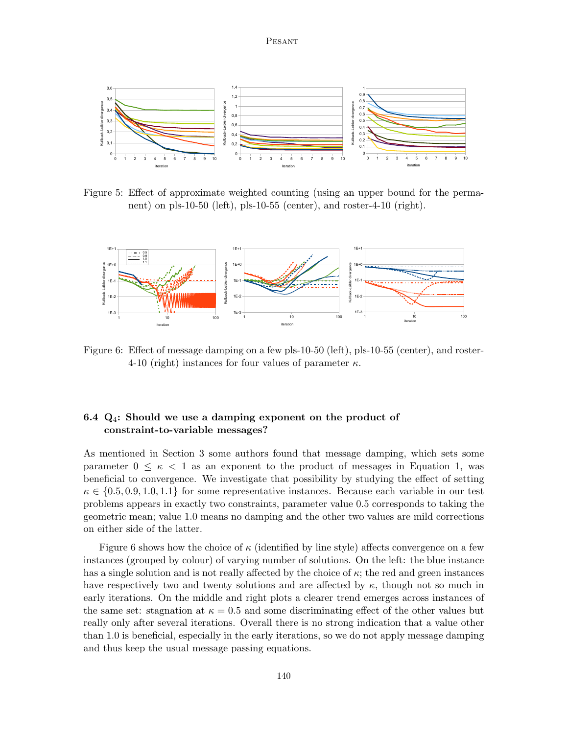

Figure 5: Effect of approximate weighted counting (using an upper bound for the permanent) on pls-10-50 (left), pls-10-55 (center), and roster-4-10 (right).



Figure 6: Effect of message damping on a few pls-10-50 (left), pls-10-55 (center), and roster-4-10 (right) instances for four values of parameter  $\kappa$ .

## 6.4  $Q_4$ : Should we use a damping exponent on the product of constraint-to-variable messages?

As mentioned in Section 3 some authors found that message damping, which sets some parameter  $0 \leq \kappa < 1$  as an exponent to the product of messages in Equation 1, was beneficial to convergence. We investigate that possibility by studying the effect of setting  $\kappa \in \{0.5, 0.9, 1.0, 1.1\}$  for some representative instances. Because each variable in our test problems appears in exactly two constraints, parameter value 0.5 corresponds to taking the geometric mean; value 1.0 means no damping and the other two values are mild corrections on either side of the latter.

Figure 6 shows how the choice of  $\kappa$  (identified by line style) affects convergence on a few instances (grouped by colour) of varying number of solutions. On the left: the blue instance has a single solution and is not really affected by the choice of  $\kappa$ ; the red and green instances have respectively two and twenty solutions and are affected by  $\kappa$ , though not so much in early iterations. On the middle and right plots a clearer trend emerges across instances of the same set: stagnation at  $\kappa = 0.5$  and some discriminating effect of the other values but really only after several iterations. Overall there is no strong indication that a value other than 1.0 is beneficial, especially in the early iterations, so we do not apply message damping and thus keep the usual message passing equations.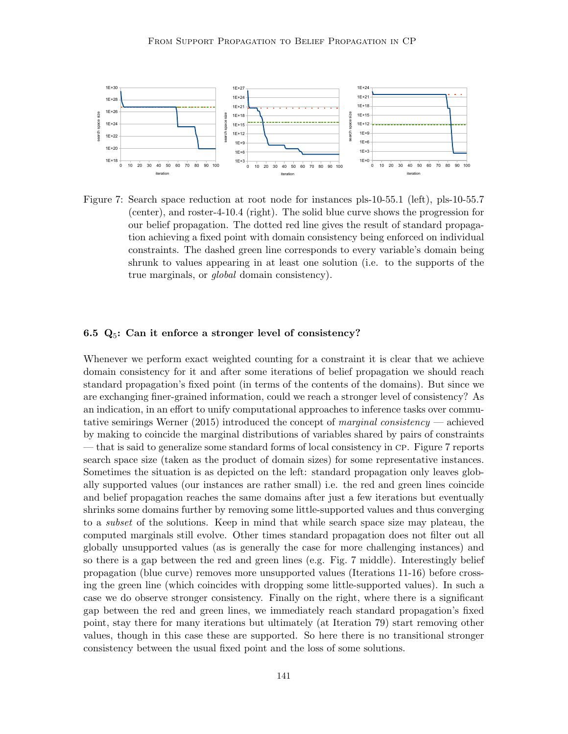

Figure 7: Search space reduction at root node for instances pls-10-55.1 (left), pls-10-55.7 (center), and roster-4-10.4 (right). The solid blue curve shows the progression for our belief propagation. The dotted red line gives the result of standard propagation achieving a fixed point with domain consistency being enforced on individual constraints. The dashed green line corresponds to every variable's domain being shrunk to values appearing in at least one solution (i.e. to the supports of the true marginals, or *global* domain consistency).

#### 6.5  $Q_5$ : Can it enforce a stronger level of consistency?

Whenever we perform exact weighted counting for a constraint it is clear that we achieve domain consistency for it and after some iterations of belief propagation we should reach standard propagation's fixed point (in terms of the contents of the domains). But since we are exchanging finer-grained information, could we reach a stronger level of consistency? As an indication, in an effort to unify computational approaches to inference tasks over commutative semirings Werner (2015) introduced the concept of marginal consistency — achieved by making to coincide the marginal distributions of variables shared by pairs of constraints — that is said to generalize some standard forms of local consistency in cp. Figure 7 reports search space size (taken as the product of domain sizes) for some representative instances. Sometimes the situation is as depicted on the left: standard propagation only leaves globally supported values (our instances are rather small) i.e. the red and green lines coincide and belief propagation reaches the same domains after just a few iterations but eventually shrinks some domains further by removing some little-supported values and thus converging to a subset of the solutions. Keep in mind that while search space size may plateau, the computed marginals still evolve. Other times standard propagation does not filter out all globally unsupported values (as is generally the case for more challenging instances) and so there is a gap between the red and green lines (e.g. Fig. 7 middle). Interestingly belief propagation (blue curve) removes more unsupported values (Iterations 11-16) before crossing the green line (which coincides with dropping some little-supported values). In such a case we do observe stronger consistency. Finally on the right, where there is a significant gap between the red and green lines, we immediately reach standard propagation's fixed point, stay there for many iterations but ultimately (at Iteration 79) start removing other values, though in this case these are supported. So here there is no transitional stronger consistency between the usual fixed point and the loss of some solutions.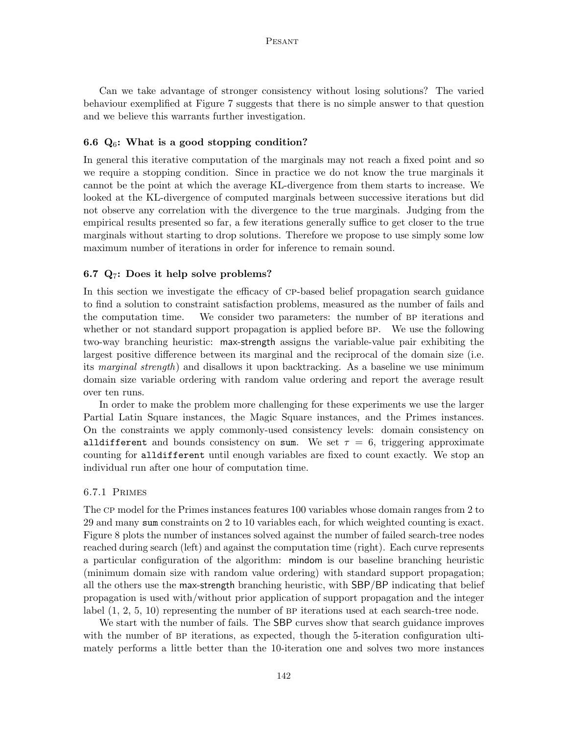Can we take advantage of stronger consistency without losing solutions? The varied behaviour exemplified at Figure 7 suggests that there is no simple answer to that question and we believe this warrants further investigation.

## 6.6  $Q_6$ : What is a good stopping condition?

In general this iterative computation of the marginals may not reach a fixed point and so we require a stopping condition. Since in practice we do not know the true marginals it cannot be the point at which the average KL-divergence from them starts to increase. We looked at the KL-divergence of computed marginals between successive iterations but did not observe any correlation with the divergence to the true marginals. Judging from the empirical results presented so far, a few iterations generally suffice to get closer to the true marginals without starting to drop solutions. Therefore we propose to use simply some low maximum number of iterations in order for inference to remain sound.

### 6.7  $Q_7$ : Does it help solve problems?

In this section we investigate the efficacy of CP-based belief propagation search guidance to find a solution to constraint satisfaction problems, measured as the number of fails and the computation time. We consider two parameters: the number of BP iterations and whether or not standard support propagation is applied before BP. We use the following two-way branching heuristic: max-strength assigns the variable-value pair exhibiting the largest positive difference between its marginal and the reciprocal of the domain size (i.e. its marginal strength) and disallows it upon backtracking. As a baseline we use minimum domain size variable ordering with random value ordering and report the average result over ten runs.

In order to make the problem more challenging for these experiments we use the larger Partial Latin Square instances, the Magic Square instances, and the Primes instances. On the constraints we apply commonly-used consistency levels: domain consistency on alldifferent and bounds consistency on sum. We set  $\tau = 6$ , triggering approximate counting for alldifferent until enough variables are fixed to count exactly. We stop an individual run after one hour of computation time.

### 6.7.1 Primes

The CP model for the Primes instances features 100 variables whose domain ranges from 2 to 29 and many sum constraints on 2 to 10 variables each, for which weighted counting is exact. Figure 8 plots the number of instances solved against the number of failed search-tree nodes reached during search (left) and against the computation time (right). Each curve represents a particular configuration of the algorithm: mindom is our baseline branching heuristic (minimum domain size with random value ordering) with standard support propagation; all the others use the max-strength branching heuristic, with SBP/BP indicating that belief propagation is used with/without prior application of support propagation and the integer label (1, 2, 5, 10) representing the number of bp iterations used at each search-tree node.

We start with the number of fails. The SBP curves show that search guidance improves with the number of BP iterations, as expected, though the 5-iteration configuration ultimately performs a little better than the 10-iteration one and solves two more instances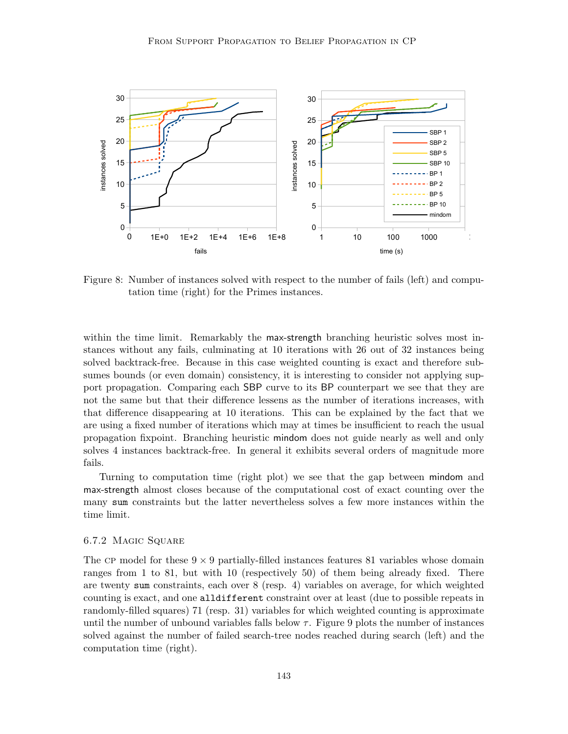

Figure 8: Number of instances solved with respect to the number of fails (left) and computation time (right) for the Primes instances.

port propagation. Comparing each SBP curve to its BP counterpart we see that they are within the time limit. Remarkably the max-strength branching heuristic solves most instances without any fails, culminating at 10 iterations with 26 out of 32 instances being solved backtrack-free. Because in this case weighted counting is exact and therefore subsumes bounds (or even domain) consistency, it is interesting to consider not applying supnot the same but that their difference lessens as the number of iterations increases, with that difference disappearing at 10 iterations. This can be explained by the fact that we are using a fixed number of iterations which may at times be insufficient to reach the usual propagation fixpoint. Branching heuristic mindom does not guide nearly as well and only solves 4 instances backtrack-free. In general it exhibits several orders of magnitude more fails.

Turning to computation time (right plot) we see that the gap between mindom and max-strength almost closes because of the computational cost of exact counting over the many sum constraints but the latter nevertheless solves a few more instances within the time limit.

## 6.7.2 Magic Square

The CP model for these  $9 \times 9$  partially-filled instances features 81 variables whose domain ranges from 1 to 81, but with 10 (respectively 50) of them being already fixed. There are twenty sum constraints, each over 8 (resp. 4) variables on average, for which weighted counting is exact, and one alldifferent constraint over at least (due to possible repeats in randomly-filled squares) 71 (resp. 31) variables for which weighted counting is approximate until the number of unbound variables falls below  $\tau$ . Figure 9 plots the number of instances solved against the number of failed search-tree nodes reached during search (left) and the computation time (right).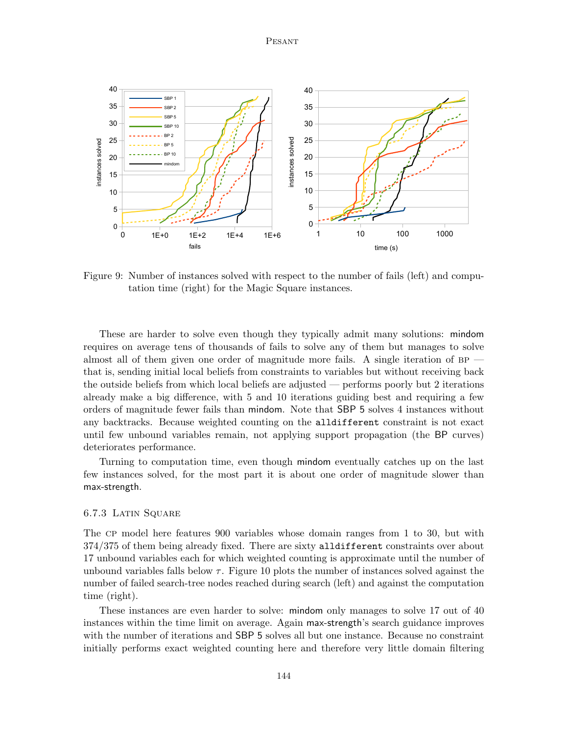

Figure 9: Number of instances solved with respect to the number of fails (left) and computation time (right) for the Magic Square instances.

These are harder to solve even though they typically admit many solutions: mindom requires on average tens of thousands of fails to solve any of them but manages to solve almost all of them given one order of magnitude more fails. A single iteration of  $BP$ that is, sending initial local beliefs from constraints to variables but without receiving back the outside beliefs from which local beliefs are adjusted — performs poorly but 2 iterations already make a big difference, with 5 and 10 iterations guiding best and requiring a few orders of magnitude fewer fails than mindom. Note that SBP 5 solves 4 instances without any backtracks. Because weighted counting on the alldifferent constraint is not exact until few unbound variables remain, not applying support propagation (the BP curves) deteriorates performance.

Turning to computation time, even though mindom eventually catches up on the last few instances solved, for the most part it is about one order of magnitude slower than max-strength.

#### 6.7.3 Latin Square

The cp model here features 900 variables whose domain ranges from 1 to 30, but with 374/375 of them being already fixed. There are sixty alldifferent constraints over about 17 unbound variables each for which weighted counting is approximate until the number of unbound variables falls below  $\tau$ . Figure 10 plots the number of instances solved against the number of failed search-tree nodes reached during search (left) and against the computation time (right).

These instances are even harder to solve: mindom only manages to solve 17 out of 40 instances within the time limit on average. Again max-strength's search guidance improves with the number of iterations and SBP 5 solves all but one instance. Because no constraint initially performs exact weighted counting here and therefore very little domain filtering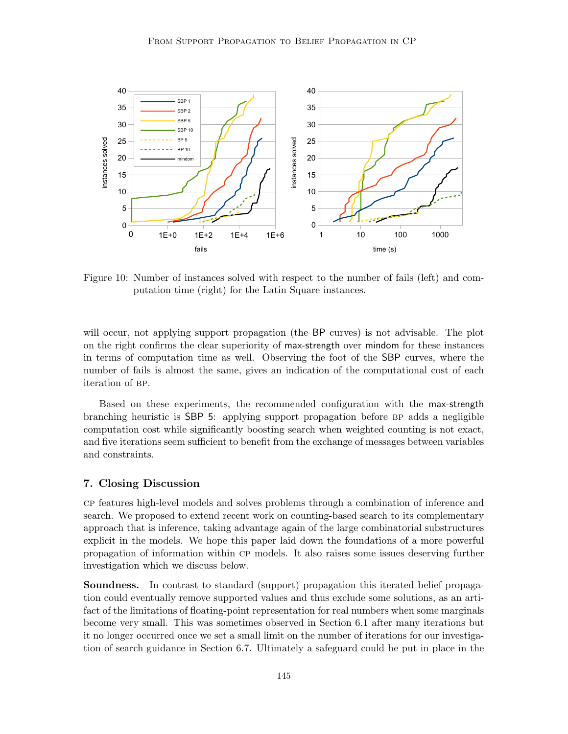

Figure 10: Number of instances solved with respect to the number of fails (left) and computation time (right) for the Latin Square instances.

will occur, not applying support propagation (the BP curves) is not advisable. The plot on the right confirms the clear superiority of max-strength over mindom for these instances in terms of computation time as well. Observing the foot of the SBP curves, where the number of fails is almost the same, gives an indication of the computational cost of each iteration of bp.

Based on these experiments, the recommended configuration with the max-strength branching heuristic is SBP 5: applying support propagation before bp adds a negligible computation cost while significantly boosting search when weighted counting is not exact, and five iterations seem sufficient to benefit from the exchange of messages between variables and constraints.

## 7. Closing Discussion

cp features high-level models and solves problems through a combination of inference and search. We proposed to extend recent work on counting-based search to its complementary approach that is inference, taking advantage again of the large combinatorial substructures explicit in the models. We hope this paper laid down the foundations of a more powerful propagation of information within cp models. It also raises some issues deserving further investigation which we discuss below.

Soundness. In contrast to standard (support) propagation this iterated belief propagation could eventually remove supported values and thus exclude some solutions, as an artifact of the limitations of floating-point representation for real numbers when some marginals become very small. This was sometimes observed in Section 6.1 after many iterations but it no longer occurred once we set a small limit on the number of iterations for our investigation of search guidance in Section 6.7. Ultimately a safeguard could be put in place in the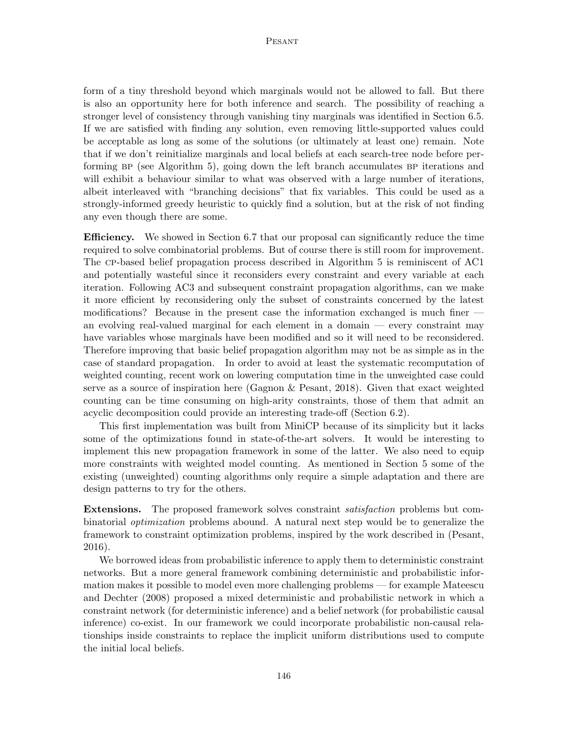form of a tiny threshold beyond which marginals would not be allowed to fall. But there is also an opportunity here for both inference and search. The possibility of reaching a stronger level of consistency through vanishing tiny marginals was identified in Section 6.5. If we are satisfied with finding any solution, even removing little-supported values could be acceptable as long as some of the solutions (or ultimately at least one) remain. Note that if we don't reinitialize marginals and local beliefs at each search-tree node before performing bp (see Algorithm 5), going down the left branch accumulates bp iterations and will exhibit a behaviour similar to what was observed with a large number of iterations, albeit interleaved with "branching decisions" that fix variables. This could be used as a strongly-informed greedy heuristic to quickly find a solution, but at the risk of not finding any even though there are some.

**Efficiency.** We showed in Section 6.7 that our proposal can significantly reduce the time required to solve combinatorial problems. But of course there is still room for improvement. The cp-based belief propagation process described in Algorithm 5 is reminiscent of AC1 and potentially wasteful since it reconsiders every constraint and every variable at each iteration. Following AC3 and subsequent constraint propagation algorithms, can we make it more efficient by reconsidering only the subset of constraints concerned by the latest modifications? Because in the present case the information exchanged is much finer an evolving real-valued marginal for each element in a domain — every constraint may have variables whose marginals have been modified and so it will need to be reconsidered. Therefore improving that basic belief propagation algorithm may not be as simple as in the case of standard propagation. In order to avoid at least the systematic recomputation of weighted counting, recent work on lowering computation time in the unweighted case could serve as a source of inspiration here (Gagnon & Pesant, 2018). Given that exact weighted counting can be time consuming on high-arity constraints, those of them that admit an acyclic decomposition could provide an interesting trade-off (Section 6.2).

This first implementation was built from MiniCP because of its simplicity but it lacks some of the optimizations found in state-of-the-art solvers. It would be interesting to implement this new propagation framework in some of the latter. We also need to equip more constraints with weighted model counting. As mentioned in Section 5 some of the existing (unweighted) counting algorithms only require a simple adaptation and there are design patterns to try for the others.

Extensions. The proposed framework solves constraint *satisfaction* problems but combinatorial optimization problems abound. A natural next step would be to generalize the framework to constraint optimization problems, inspired by the work described in (Pesant, 2016).

We borrowed ideas from probabilistic inference to apply them to deterministic constraint networks. But a more general framework combining deterministic and probabilistic information makes it possible to model even more challenging problems — for example Mateescu and Dechter (2008) proposed a mixed deterministic and probabilistic network in which a constraint network (for deterministic inference) and a belief network (for probabilistic causal inference) co-exist. In our framework we could incorporate probabilistic non-causal relationships inside constraints to replace the implicit uniform distributions used to compute the initial local beliefs.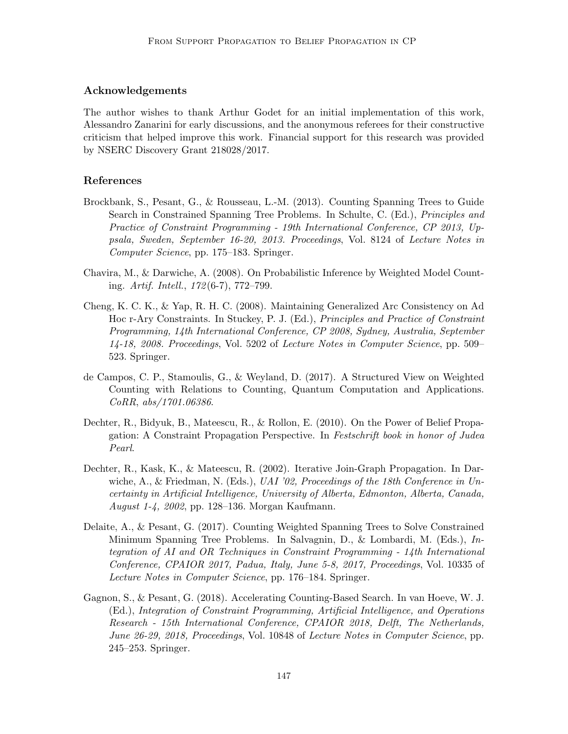## Acknowledgements

The author wishes to thank Arthur Godet for an initial implementation of this work, Alessandro Zanarini for early discussions, and the anonymous referees for their constructive criticism that helped improve this work. Financial support for this research was provided by NSERC Discovery Grant 218028/2017.

## References

- Brockbank, S., Pesant, G., & Rousseau, L.-M. (2013). Counting Spanning Trees to Guide Search in Constrained Spanning Tree Problems. In Schulte, C. (Ed.), Principles and Practice of Constraint Programming - 19th International Conference, CP 2013, Uppsala, Sweden, September 16-20, 2013. Proceedings, Vol. 8124 of Lecture Notes in Computer Science, pp. 175–183. Springer.
- Chavira, M., & Darwiche, A. (2008). On Probabilistic Inference by Weighted Model Counting. Artif. Intell., 172 (6-7), 772–799.
- Cheng, K. C. K., & Yap, R. H. C. (2008). Maintaining Generalized Arc Consistency on Ad Hoc r-Ary Constraints. In Stuckey, P. J. (Ed.), Principles and Practice of Constraint Programming, 14th International Conference, CP 2008, Sydney, Australia, September 14-18, 2008. Proceedings, Vol. 5202 of Lecture Notes in Computer Science, pp. 509– 523. Springer.
- de Campos, C. P., Stamoulis, G., & Weyland, D. (2017). A Structured View on Weighted Counting with Relations to Counting, Quantum Computation and Applications. CoRR, abs/1701.06386.
- Dechter, R., Bidyuk, B., Mateescu, R., & Rollon, E. (2010). On the Power of Belief Propagation: A Constraint Propagation Perspective. In Festschrift book in honor of Judea Pearl.
- Dechter, R., Kask, K., & Mateescu, R. (2002). Iterative Join-Graph Propagation. In Darwiche, A., & Friedman, N. (Eds.), UAI '02, Proceedings of the 18th Conference in Uncertainty in Artificial Intelligence, University of Alberta, Edmonton, Alberta, Canada, August 1-4, 2002, pp. 128–136. Morgan Kaufmann.
- Delaite, A., & Pesant, G. (2017). Counting Weighted Spanning Trees to Solve Constrained Minimum Spanning Tree Problems. In Salvagnin, D., & Lombardi, M. (Eds.), Integration of AI and OR Techniques in Constraint Programming - 14th International Conference, CPAIOR 2017, Padua, Italy, June 5-8, 2017, Proceedings, Vol. 10335 of Lecture Notes in Computer Science, pp. 176–184. Springer.
- Gagnon, S., & Pesant, G. (2018). Accelerating Counting-Based Search. In van Hoeve, W. J. (Ed.), Integration of Constraint Programming, Artificial Intelligence, and Operations Research - 15th International Conference, CPAIOR 2018, Delft, The Netherlands, June 26-29, 2018, Proceedings, Vol. 10848 of Lecture Notes in Computer Science, pp. 245–253. Springer.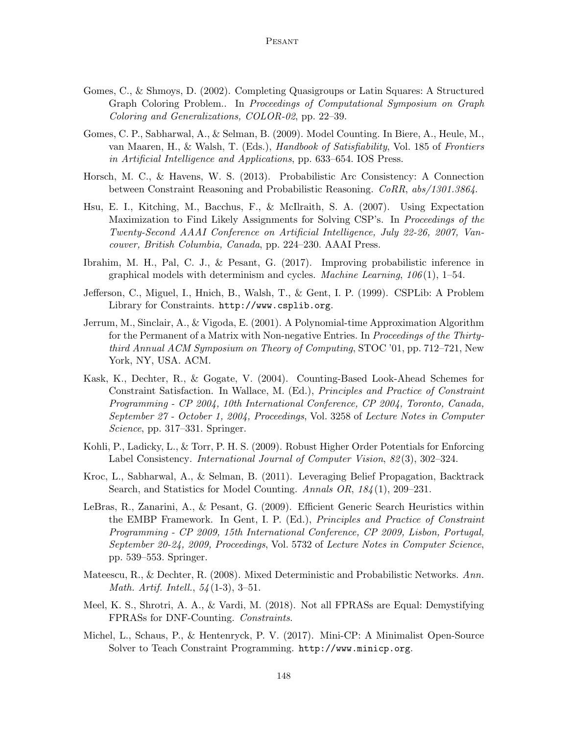- Gomes, C., & Shmoys, D. (2002). Completing Quasigroups or Latin Squares: A Structured Graph Coloring Problem.. In Proceedings of Computational Symposium on Graph Coloring and Generalizations, COLOR-02, pp. 22–39.
- Gomes, C. P., Sabharwal, A., & Selman, B. (2009). Model Counting. In Biere, A., Heule, M., van Maaren, H., & Walsh, T. (Eds.), Handbook of Satisfiability, Vol. 185 of Frontiers in Artificial Intelligence and Applications, pp. 633–654. IOS Press.
- Horsch, M. C., & Havens, W. S. (2013). Probabilistic Arc Consistency: A Connection between Constraint Reasoning and Probabilistic Reasoning. CoRR, abs/1301.3864.
- Hsu, E. I., Kitching, M., Bacchus, F., & McIlraith, S. A. (2007). Using Expectation Maximization to Find Likely Assignments for Solving CSP's. In Proceedings of the Twenty-Second AAAI Conference on Artificial Intelligence, July 22-26, 2007, Vancouver, British Columbia, Canada, pp. 224–230. AAAI Press.
- Ibrahim, M. H., Pal, C. J., & Pesant, G. (2017). Improving probabilistic inference in graphical models with determinism and cycles. Machine Learning,  $106(1)$ , 1–54.
- Jefferson, C., Miguel, I., Hnich, B., Walsh, T., & Gent, I. P. (1999). CSPLib: A Problem Library for Constraints. http://www.csplib.org.
- Jerrum, M., Sinclair, A., & Vigoda, E. (2001). A Polynomial-time Approximation Algorithm for the Permanent of a Matrix with Non-negative Entries. In *Proceedings of the Thirty*third Annual ACM Symposium on Theory of Computing, STOC '01, pp. 712–721, New York, NY, USA. ACM.
- Kask, K., Dechter, R., & Gogate, V. (2004). Counting-Based Look-Ahead Schemes for Constraint Satisfaction. In Wallace, M. (Ed.), Principles and Practice of Constraint Programming - CP 2004, 10th International Conference, CP 2004, Toronto, Canada, September 27 - October 1, 2004, Proceedings, Vol. 3258 of Lecture Notes in Computer Science, pp. 317–331. Springer.
- Kohli, P., Ladicky, L., & Torr, P. H. S. (2009). Robust Higher Order Potentials for Enforcing Label Consistency. *International Journal of Computer Vision*,  $82(3)$ , 302–324.
- Kroc, L., Sabharwal, A., & Selman, B. (2011). Leveraging Belief Propagation, Backtrack Search, and Statistics for Model Counting. Annals OR, 184(1), 209-231.
- LeBras, R., Zanarini, A., & Pesant, G. (2009). Efficient Generic Search Heuristics within the EMBP Framework. In Gent, I. P. (Ed.), Principles and Practice of Constraint Programming - CP 2009, 15th International Conference, CP 2009, Lisbon, Portugal, September 20-24, 2009, Proceedings, Vol. 5732 of Lecture Notes in Computer Science, pp. 539–553. Springer.
- Mateescu, R., & Dechter, R. (2008). Mixed Deterministic and Probabilistic Networks. Ann. Math. Artif. Intell., 54 (1-3), 3–51.
- Meel, K. S., Shrotri, A. A., & Vardi, M. (2018). Not all FPRASs are Equal: Demystifying FPRASs for DNF-Counting. Constraints.
- Michel, L., Schaus, P., & Hentenryck, P. V. (2017). Mini-CP: A Minimalist Open-Source Solver to Teach Constraint Programming. http://www.minicp.org.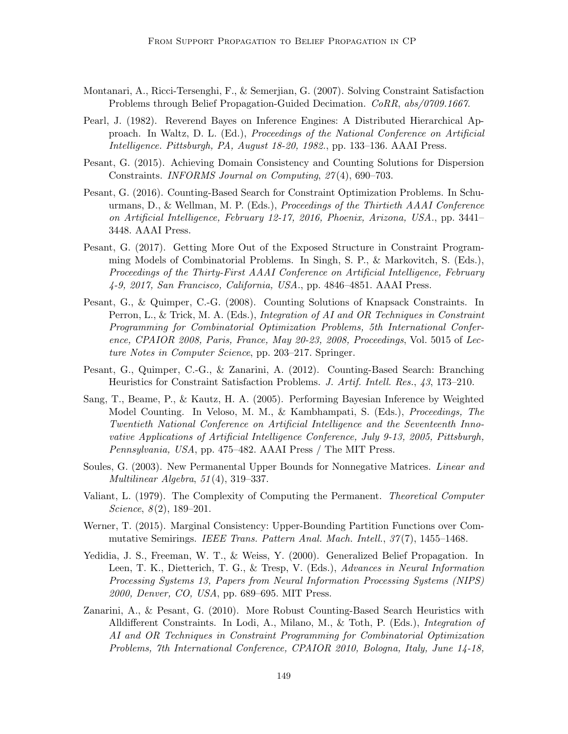- Montanari, A., Ricci-Tersenghi, F., & Semerjian, G. (2007). Solving Constraint Satisfaction Problems through Belief Propagation-Guided Decimation. CoRR, abs/0709.1667.
- Pearl, J. (1982). Reverend Bayes on Inference Engines: A Distributed Hierarchical Approach. In Waltz, D. L. (Ed.), Proceedings of the National Conference on Artificial Intelligence. Pittsburgh, PA, August 18-20, 1982., pp. 133–136. AAAI Press.
- Pesant, G. (2015). Achieving Domain Consistency and Counting Solutions for Dispersion Constraints. INFORMS Journal on Computing, 27 (4), 690–703.
- Pesant, G. (2016). Counting-Based Search for Constraint Optimization Problems. In Schuurmans, D., & Wellman, M. P. (Eds.), Proceedings of the Thirtieth AAAI Conference on Artificial Intelligence, February 12-17, 2016, Phoenix, Arizona, USA., pp. 3441– 3448. AAAI Press.
- Pesant, G. (2017). Getting More Out of the Exposed Structure in Constraint Programming Models of Combinatorial Problems. In Singh, S. P., & Markovitch, S. (Eds.), Proceedings of the Thirty-First AAAI Conference on Artificial Intelligence, February 4-9, 2017, San Francisco, California, USA., pp. 4846–4851. AAAI Press.
- Pesant, G., & Quimper, C.-G. (2008). Counting Solutions of Knapsack Constraints. In Perron, L., & Trick, M. A. (Eds.), Integration of AI and OR Techniques in Constraint Programming for Combinatorial Optimization Problems, 5th International Conference, CPAIOR 2008, Paris, France, May 20-23, 2008, Proceedings, Vol. 5015 of Lecture Notes in Computer Science, pp. 203–217. Springer.
- Pesant, G., Quimper, C.-G., & Zanarini, A. (2012). Counting-Based Search: Branching Heuristics for Constraint Satisfaction Problems. J. Artif. Intell. Res., 43, 173–210.
- Sang, T., Beame, P., & Kautz, H. A. (2005). Performing Bayesian Inference by Weighted Model Counting. In Veloso, M. M., & Kambhampati, S. (Eds.), Proceedings, The Twentieth National Conference on Artificial Intelligence and the Seventeenth Innovative Applications of Artificial Intelligence Conference, July 9-13, 2005, Pittsburgh, Pennsylvania, USA, pp. 475–482. AAAI Press / The MIT Press.
- Soules, G. (2003). New Permanental Upper Bounds for Nonnegative Matrices. *Linear and* Multilinear Algebra, 51 (4), 319–337.
- Valiant, L. (1979). The Complexity of Computing the Permanent. Theoretical Computer Science,  $8(2)$ , 189-201.
- Werner, T. (2015). Marginal Consistency: Upper-Bounding Partition Functions over Commutative Semirings. IEEE Trans. Pattern Anal. Mach. Intell., 37 (7), 1455–1468.
- Yedidia, J. S., Freeman, W. T., & Weiss, Y. (2000). Generalized Belief Propagation. In Leen, T. K., Dietterich, T. G., & Tresp, V. (Eds.), Advances in Neural Information Processing Systems 13, Papers from Neural Information Processing Systems (NIPS) 2000, Denver, CO, USA, pp. 689–695. MIT Press.
- Zanarini, A., & Pesant, G. (2010). More Robust Counting-Based Search Heuristics with Alldifferent Constraints. In Lodi, A., Milano, M., & Toth, P. (Eds.), Integration of AI and OR Techniques in Constraint Programming for Combinatorial Optimization Problems, 7th International Conference, CPAIOR 2010, Bologna, Italy, June 14-18,